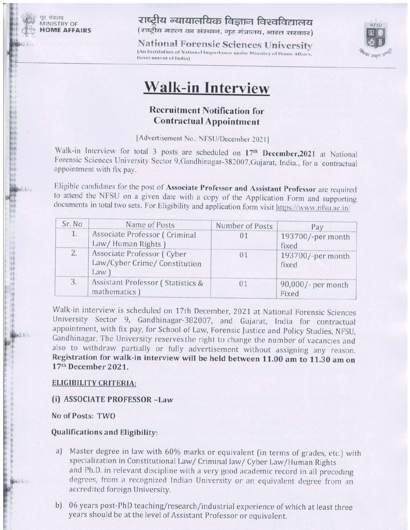**MINISTRY OF OME AFFAIRS** 

मंत्रालय

राष्ट्रीय न्यायालयिक विज्ञान विश्वविद्यालय (राष्ट्रीय महत्त्व का संस्थान, गृह मंत्रालय, भारत सरकार)

**National Forensic Sciences University** [An Institution of National Importance under Ministry of Home Affairs, **Government** of India)



# **Walk-in Interview**

### **Recruitment Notification for Contractual Appointment**

[Advertisement No.: NFSU/December 2021]

Walk-in Interview for total 3 posts are scheduled on 17<sup>th</sup> December, 2021 at National Forensic Sciences University Sector 9, Gandhinagar-382007, Gujarat, India., for a contractual appointment with fix pay.

Eligible candidates for the post of Associate Professor and Assistant Professor are required to attend the NFSU on a given date with a copy of the Application Form and supporting documents in total two sets. For Eligibility and application form visit https://www.nfsu.ac.in/

| Sr. No | Name of Posts                                                      | Number of Posts | Pay                         |
|--------|--------------------------------------------------------------------|-----------------|-----------------------------|
| 1.     | Associate Professor (Criminal<br>Law/Human Rights)                 | 01              | 193700/-per month<br>fixed  |
| 2.     | Associate Professor (Cyber<br>Law/Cyber Crime/ Constitution<br>Law | 01              | 193700/-per month<br>fixed  |
| 3.     | Assistant Professor (Statistics &<br>mathematics )                 | 0 <sub>1</sub>  | 90,000/- per month<br>Fixed |

Walk-in interview is scheduled on 17th December, 2021 at National Forensic Sciences University Sector 9, Gandhinagar-382007, and Gujarat, India for contractual appointment, with fix pay, for School of Law, Forensic Justice and Policy Studies, NFSU, Gandhinagar. The University reserves the right to change the number of vacancies and also to withdraw partially or fully advertisement without assigning any reason. Registration for walk-in interview will be held between 11.00 am to 11.30 am on 17th December 2021.

#### **ELIGIBILITY CRITERIA:**

#### (i) ASSOCIATE PROFESSOR -Law

No of Posts: TWO

#### **Qualifications and Eligibility:**

- Master degree in law with 60% marks or equivalent (in terms of grades, etc.) with a) specialization in Constitutional Law/ Criminal law/ Cyber Law/Human Rights and Ph.D. in relevant discipline with a very good academic record in all preceding degrees, from a recognized Indian University or an equivalent degree from an accredited foreign University.
- b) 06 years post-PhD teaching/research/industrial experience of which at least three years should be at the level of Assistant Professor or equivalent.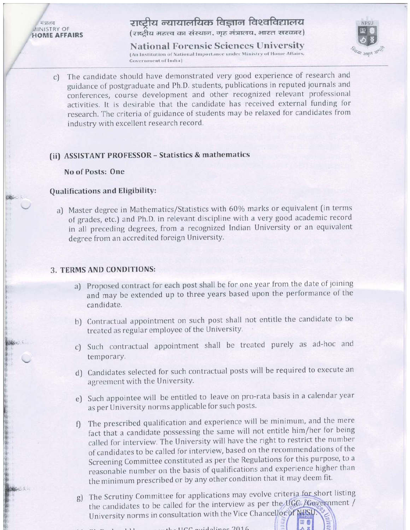मंत्रालय **AINISTRY OF HOME AFFAIRS** 

## राष्टीय न्यायालयिक विज्ञान विश्वविद्यालय

(राष्ट्रीय महत्त्व का संस्थान, गृह मंत्रालय, भारत सरकार)

**National Forensic Sciences University** (An Institution of National Importance under Ministry of Home Affairs, **Government** of India)



The candidate should have demonstrated very good experience of research and  $\mathcal{C}$ guidance of postgraduate and Ph.D. students, publications in reputed journals and conferences, course development and other recognized relevant professional activities. It is desirable that the candidate has received external funding for research. The criteria of guidance of students may be relaxed for candidates from industry with excellent research record.

#### (ii) ASSISTANT PROFESSOR - Statistics & mathematics

No of Posts: One

#### Qualifications and Eligibility:

a) Master degree in Mathematics/Statistics with 60% marks or equivalent (in terms of grades, etc.) and Ph.D. in relevant discipline with a very good academic record in all preceding degrees, from a recognized Indian University or an equivalent degree from an accredited foreign University.

#### 3. TERMS AND CONDITIONS:

- a) Proposed contract for each post shall be for one year from the date of joining and may be extended up to three years based upon the performance of the candidate.
- b) Contractual appointment on such post shall not entitle the candidate to be treated as regular employee of the University.
- c) Such contractual appointment shall be treated purely as ad-hoc and temporary.
- d) Candidates selected for such contractual posts will be required to execute an agreement with the University.
- e) Such appointee will be entitled to leave on pro-rata basis in a calendar year as per University norms applicable for such posts.
- The prescribed qualification and experience will be minimum, and the mere fact that a candidate possessing the same will not entitle him/her for being called for interview. The University will have the right to restrict the number of candidates to be called for interview, based on the recommendations of the Screening Committee constituted as per the Regulations for this purpose, to a reasonable number on the basis of qualifications and experience higher than the minimum prescribed or by any other condition that it may deem fit.
- g) The Scrutiny Committee for applications may evolve criteria for short listing the candidates to be called for the interview as per the UGC LGovernment / University norms in consultation with the Vice Chancellor of NHSU: **Vuller**

图 8

 $-$  the UCC quidolings  $2016$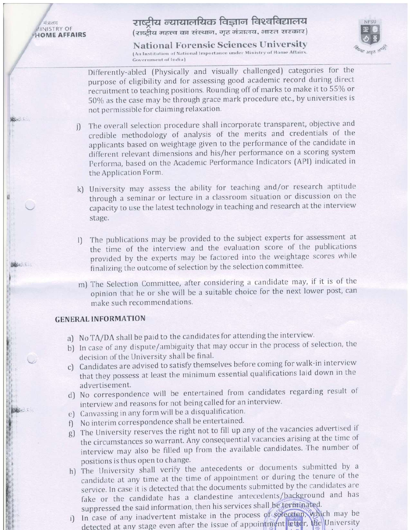मंत्रालय **AINISTRY OF HOME AFFAIRS** 

**BOSCHOOL** 

### राष्ट्रीय न्यायालयिक विज्ञान विश्वविद्यालय (राष्ट्रीय महत्त्व का संस्थान, गृह मंत्रालय, भारत सरकार)

**National Forensic Sciences University** (An Institution of National Importance under Ministry of Home Affairs, **Government of India)** 



Differently-abled (Physically and visually challenged) categories for the purpose of eligibility and for assessing good academic record during direct recruitment to teaching positions. Rounding off of marks to make it to 55% or 50% as the case may be through grace mark procedure etc., by universities is not permissible for claiming relaxation.

- The overall selection procedure shall incorporate transparent, objective and  $i$ credible methodology of analysis of the merits and credentials of the applicants based on weightage given to the performance of the candidate in different relevant dimensions and his/her performance on a scoring system Performa, based on the Academic Performance Indicators (API) indicated in the Application Form.
- k) University may assess the ability for teaching and/or research aptitude through a seminar or lecture in a classroom situation or discussion on the capacity to use the latest technology in teaching and research at the interview stage.
- The publications may be provided to the subject experts for assessment at  $\prod$ the time of the interview and the evaluation score of the publications provided by the experts may be factored into the weightage scores while finalizing the outcome of selection by the selection committee.
- m) The Selection Committee, after considering a candidate may, if it is of the opinion that he or she will be a suitable choice for the next lower post, can make such recommendations.

#### **GENERAL INFORMATION**

- a) No TA/DA shall be paid to the candidates for attending the interview.
- b) In case of any dispute/ambiguity that may occur in the process of selection, the decision of the University shall be final.
- c) Candidates are advised to satisfy themselves before coming for walk-in interview that they possess at least the minimum essential qualifications laid down in the advertisement.
- d) No correspondence will be entertained from candidates regarding result of interview and reasons for not being called for an interview.
- e) Canvassing in any form will be a disqualification.
- f) No interim correspondence shall be entertained.
- g) The University reserves the right not to fill up any of the vacancies advertised if the circumstances so warrant. Any consequential vacancies arising at the time of interview may also be filled up from the available candidates. The number of positions is thus open to change.
- h) The University shall verify the antecedents or documents submitted by a candidate at any time at the time of appointment or during the tenure of the service. In case it is detected that the documents submitted by the candidates are fake or the candidate has a clandestine antecedents/background and has suppressed the said information, then his services shall be terminated.
- In case of any inadvertent mistake in the process of solection, which may be  $i)$ detected at any stage even after the issue of appointment letter, the University